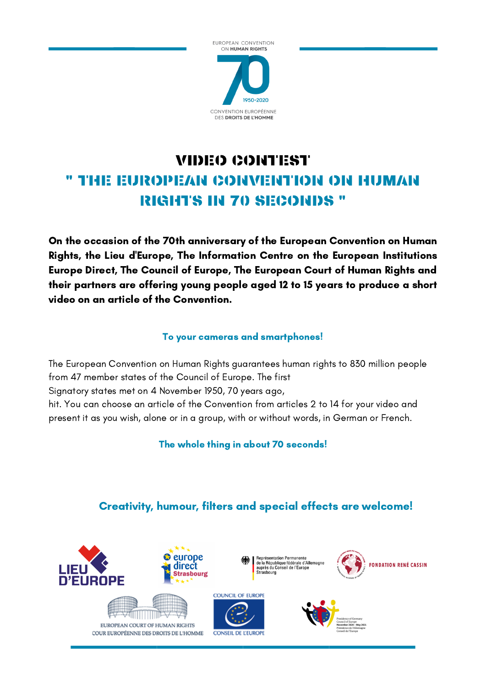

## VIDEO CONTEST " THE EUROPEAN CONVENTION ON HUMAN RIGHTS IN 70 SECONDS "

On the occasion of the 70th anniversary of the European Convention on Human Rights, the Lieu d'Europe, The Information Centre on the European Institutions Europe Direct, The Council of Europe, The European Court of Human Rights and their partners are offering young people aged 12 to 15 years to produce a short video on an article of the Convention.

## To your cameras and smartphones!

The European Convention on Human Rights guarantees human rights to 830 million people from 47 member states of the Council of Europe. The first Signatory states met on 4 November 1950, 70 years ago, hit. You can choose an article of the Convention from articles 2 to 14 for your video and present it as you wish, alone or in a group, with or without words, in German or French.

The whole thing in about 70 seconds!